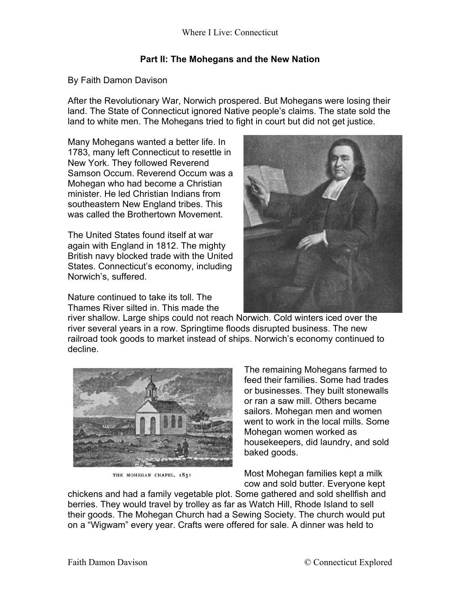## **Part II: The Mohegans and the New Nation**

## By Faith Damon Davison

After the Revolutionary War, Norwich prospered. But Mohegans were losing their land. The State of Connecticut ignored Native people's claims. The state sold the land to white men. The Mohegans tried to fight in court but did not get justice.

Many Mohegans wanted a better life. In 1783, many left Connecticut to resettle in New York. They followed Reverend Samson Occum. Reverend Occum was a Mohegan who had become a Christian minister. He led Christian Indians from southeastern New England tribes. This was called the Brothertown Movement.

The United States found itself at war again with England in 1812. The mighty British navy blocked trade with the United States. Connecticut's economy, including Norwich's, suffered.

Nature continued to take its toll. The Thames River silted in. This made the



river shallow. Large ships could not reach Norwich. Cold winters iced over the river several years in a row. Springtime floods disrupted business. The new railroad took goods to market instead of ships. Norwich's economy continued to decline.



THE MOHEGAN CHAPEL, 1831

The remaining Mohegans farmed to feed their families. Some had trades or businesses. They built stonewalls or ran a saw mill. Others became sailors. Mohegan men and women went to work in the local mills. Some Mohegan women worked as housekeepers, did laundry, and sold baked goods.

Most Mohegan families kept a milk cow and sold butter. Everyone kept

chickens and had a family vegetable plot. Some gathered and sold shellfish and berries. They would travel by trolley as far as Watch Hill, Rhode Island to sell their goods. The Mohegan Church had a Sewing Society. The church would put on a "Wigwam" every year. Crafts were offered for sale. A dinner was held to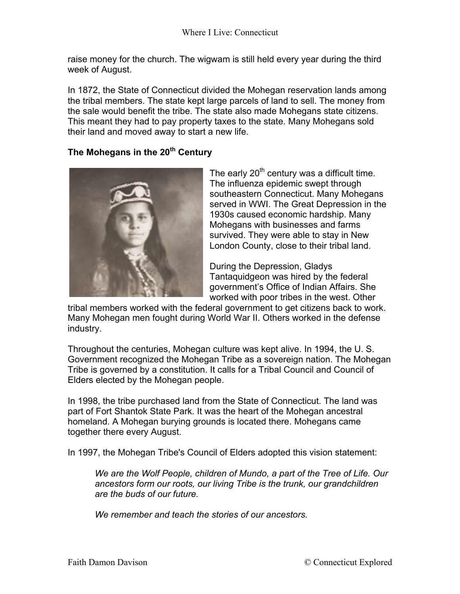raise money for the church. The wigwam is still held every year during the third week of August.

In 1872, the State of Connecticut divided the Mohegan reservation lands among the tribal members. The state kept large parcels of land to sell. The money from the sale would benefit the tribe. The state also made Mohegans state citizens. This meant they had to pay property taxes to the state. Many Mohegans sold their land and moved away to start a new life.

## **The Mohegans in the 20th Century**



The early  $20<sup>th</sup>$  century was a difficult time. The influenza epidemic swept through southeastern Connecticut. Many Mohegans served in WWI. The Great Depression in the 1930s caused economic hardship. Many Mohegans with businesses and farms survived. They were able to stay in New London County, close to their tribal land.

During the Depression, Gladys Tantaquidgeon was hired by the federal government's Office of Indian Affairs. She worked with poor tribes in the west. Other

tribal members worked with the federal government to get citizens back to work. Many Mohegan men fought during World War II. Others worked in the defense industry.

Throughout the centuries, Mohegan culture was kept alive. In 1994, the U. S. Government recognized the Mohegan Tribe as a sovereign nation. The Mohegan Tribe is governed by a constitution. It calls for a Tribal Council and Council of Elders elected by the Mohegan people.

In 1998, the tribe purchased land from the State of Connecticut. The land was part of Fort Shantok State Park. It was the heart of the Mohegan ancestral homeland. A Mohegan burying grounds is located there. Mohegans came together there every August.

In 1997, the Mohegan Tribe's Council of Elders adopted this vision statement:

*We are the Wolf People, children of Mundo, a part of the Tree of Life. Our ancestors form our roots, our living Tribe is the trunk, our grandchildren are the buds of our future.*

*We remember and teach the stories of our ancestors.*